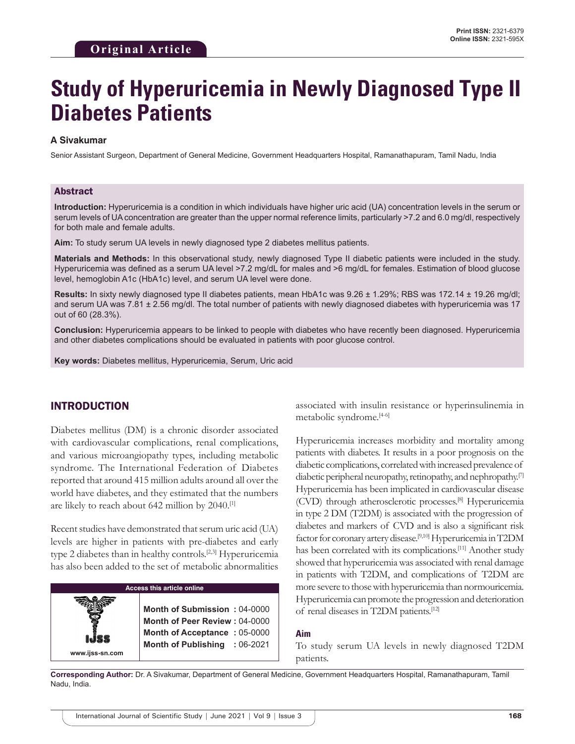# **Study of Hyperuricemia in Newly Diagnosed Type II Diabetes Patients**

#### **A Sivakumar**

Senior Assistant Surgeon, Department of General Medicine, Government Headquarters Hospital, Ramanathapuram, Tamil Nadu, India

#### Abstract

**Introduction:** Hyperuricemia is a condition in which individuals have higher uric acid (UA) concentration levels in the serum or serum levels of UA concentration are greater than the upper normal reference limits, particularly >7.2 and 6.0 mg/dl, respectively for both male and female adults.

**Aim:** To study serum UA levels in newly diagnosed type 2 diabetes mellitus patients.

**Materials and Methods:** In this observational study, newly diagnosed Type II diabetic patients were included in the study. Hyperuricemia was defined as a serum UA level >7.2 mg/dL for males and >6 mg/dL for females. Estimation of blood glucose level, hemoglobin A1c (HbA1c) level, and serum UA level were done.

**Results:** In sixty newly diagnosed type II diabetes patients, mean HbA1c was 9.26 ± 1.29%; RBS was 172.14 ± 19.26 mg/dl; and serum UA was 7.81 ± 2.56 mg/dl. The total number of patients with newly diagnosed diabetes with hyperuricemia was 17 out of 60 (28.3%).

**Conclusion:** Hyperuricemia appears to be linked to people with diabetes who have recently been diagnosed. Hyperuricemia and other diabetes complications should be evaluated in patients with poor glucose control.

**Key words:** Diabetes mellitus, Hyperuricemia, Serum, Uric acid

## INTRODUCTION

**www.ijss-sn.com**

Diabetes mellitus (DM) is a chronic disorder associated with cardiovascular complications, renal complications, and various microangiopathy types, including metabolic syndrome. The International Federation of Diabetes reported that around 415 million adults around all over the world have diabetes, and they estimated that the numbers are likely to reach about 642 million by 2040.[1]

Recent studies have demonstrated that serum uric acid (UA) levels are higher in patients with pre-diabetes and early type 2 diabetes than in healthy controls.[2,3] Hyperuricemia has also been added to the set of metabolic abnormalities



**Month of Submission :** 04-0000 **Month of Peer Review :** 04-0000 **Month of Acceptance :** 05-0000 **Month of Publishing :** 06-2021

associated with insulin resistance or hyperinsulinemia in metabolic syndrome.[4-6]

Hyperuricemia increases morbidity and mortality among patients with diabetes. It results in a poor prognosis on the diabetic complications, correlated with increased prevalence of diabetic peripheral neuropathy, retinopathy, and nephropathy.[7] Hyperuricemia has been implicated in cardiovascular disease (CVD) through atherosclerotic processes.[8] Hyperuricemia in type 2 DM (T2DM) is associated with the progression of diabetes and markers of CVD and is also a significant risk factor for coronary artery disease.[9,10] Hyperuricemia in T2DM has been correlated with its complications.<sup>[11]</sup> Another study showed that hyperuricemia was associated with renal damage in patients with T2DM, and complications of T2DM are more severe to those with hyperuricemia than normouricemia. Hyperuricemia can promote the progression and deterioration of renal diseases in T2DM patients.[12]

#### **Aim**

To study serum UA levels in newly diagnosed T2DM patients.

**Corresponding Author:** Dr. A Sivakumar, Department of General Medicine, Government Headquarters Hospital, Ramanathapuram, Tamil Nadu, India.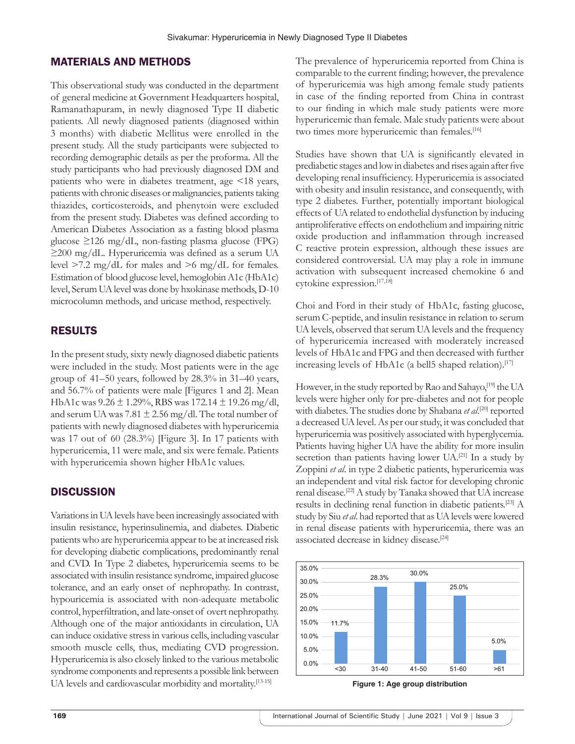## MATERIALS AND METHODS

This observational study was conducted in the department of general medicine at Government Headquarters hospital, Ramanathapuram, in newly diagnosed Type II diabetic patients. All newly diagnosed patients (diagnosed within 3 months) with diabetic Mellitus were enrolled in the present study. All the study participants were subjected to recording demographic details as per the proforma. All the study participants who had previously diagnosed DM and patients who were in diabetes treatment, age <18 years, patients with chronic diseases or malignancies, patients taking thiazides, corticosteroids, and phenytoin were excluded from the present study. Diabetes was defined according to American Diabetes Association as a fasting blood plasma glucose ≥126 mg/dL, non-fasting plasma glucose (FPG) ≥200 mg/dL. Hyperuricemia was defined as a serum UA level >7.2 mg/dL for males and >6 mg/dL for females. Estimation of blood glucose level, hemoglobin A1c (HbA1c) level, Serum UA level was done by hxokinase methods, D-10 microcolumn methods, and uricase method, respectively.

# RESULTS

In the present study, sixty newly diagnosed diabetic patients were included in the study. Most patients were in the age group of 41–50 years, followed by 28.3% in 31–40 years, and 56.7% of patients were male [Figures 1 and 2]. Mean HbA1c was 9.26 ± 1.29%, RBS was 172.14 ± 19.26 mg/dl, and serum UA was  $7.81 \pm 2.56$  mg/dl. The total number of patients with newly diagnosed diabetes with hyperuricemia was 17 out of 60 (28.3%) [Figure 3]. In 17 patients with hyperuricemia, 11 were male, and six were female. Patients with hyperuricemia shown higher HbA1c values.

# **DISCUSSION**

Variations in UA levels have been increasingly associated with insulin resistance, hyperinsulinemia, and diabetes. Diabetic patients who are hyperuricemia appear to be at increased risk for developing diabetic complications, predominantly renal and CVD. In Type 2 diabetes, hyperuricemia seems to be associated with insulin resistance syndrome, impaired glucose tolerance, and an early onset of nephropathy. In contrast, hypouricemia is associated with non-adequate metabolic control, hyperfiltration, and late-onset of overt nephropathy. Although one of the major antioxidants in circulation, UA can induce oxidative stress in various cells, including vascular smooth muscle cells, thus, mediating CVD progression. Hyperuricemia is also closely linked to the various metabolic syndrome components and represents a possible link between UA levels and cardiovascular morbidity and mortality.[13-15]

The prevalence of hyperuricemia reported from China is comparable to the current finding; however, the prevalence of hyperuricemia was high among female study patients in case of the finding reported from China in contrast to our finding in which male study patients were more hyperuricemic than female. Male study patients were about two times more hyperuricemic than females.<sup>[16]</sup>

Studies have shown that UA is significantly elevated in prediabetic stages and low in diabetes and rises again after five developing renal insufficiency. Hyperuricemia is associated with obesity and insulin resistance, and consequently, with type 2 diabetes. Further, potentially important biological effects of UA related to endothelial dysfunction by inducing antiproliferative effects on endothelium and impairing nitric oxide production and inflammation through increased C reactive protein expression, although these issues are considered controversial. UA may play a role in immune activation with subsequent increased chemokine 6 and cytokine expression.[17,18]

Choi and Ford in their study of HbA1c, fasting glucose, serum C-peptide, and insulin resistance in relation to serum UA levels, observed that serum UA levels and the frequency of hyperuricemia increased with moderately increased levels of HbA1c and FPG and then decreased with further increasing levels of HbA1c (a bell5 shaped relation).<sup>[17]</sup>

However, in the study reported by Rao and Sahayo,<sup>[19]</sup> the UA levels were higher only for pre-diabetes and not for people with diabetes. The studies done by Shabana et al.<sup>[20]</sup> reported a decreased UA level. As per our study, it was concluded that hyperuricemia was positively associated with hyperglycemia. Patients having higher UA have the ability for more insulin secretion than patients having lower UA.<sup>[21]</sup> In a study by Zoppini *et al*. in type 2 diabetic patients, hyperuricemia was an independent and vital risk factor for developing chronic renal disease.[22] A study by Tanaka showed that UA increase results in declining renal function in diabetic patients.[23] A study by Siu *et al*. had reported that as UA levels were lowered in renal disease patients with hyperuricemia, there was an associated decrease in kidney disease.<sup>[24]</sup>



**Figure 1: Age group distribution**